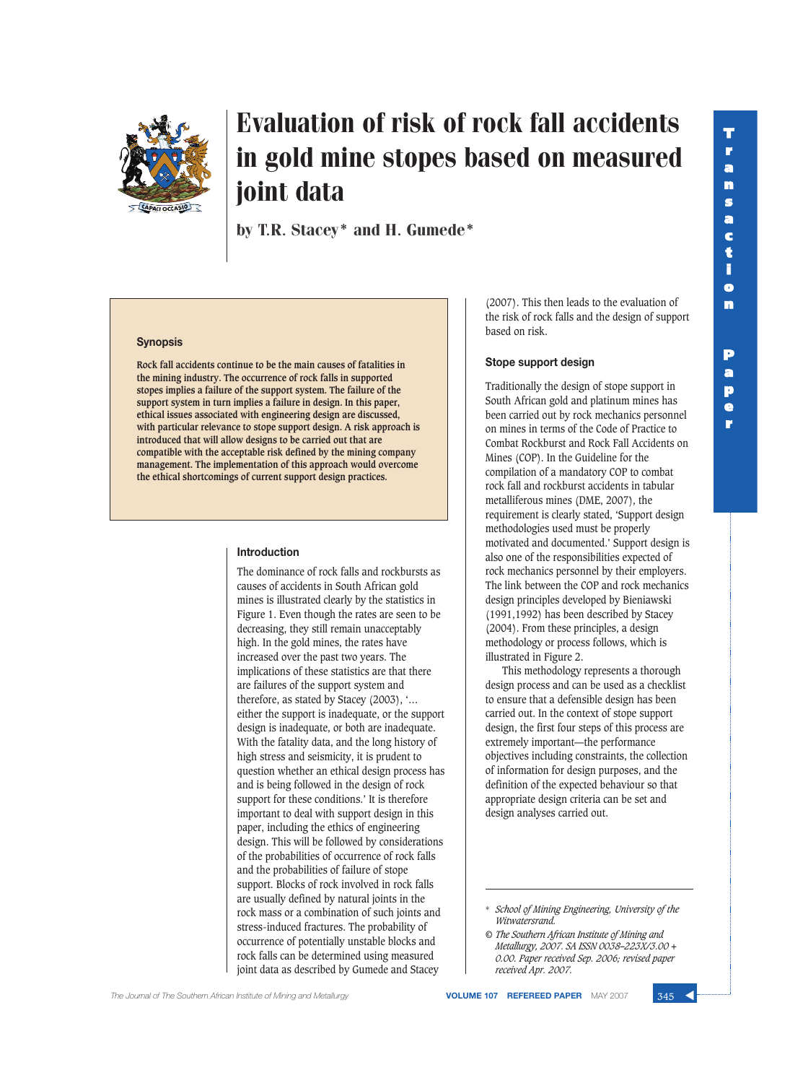**p e r**



# Evaluation of risk of rock fall accidents in gold mine stopes based on measured joint data

by T.R. Stacey\* and H. Gumede\*

#### **Synopsis**

**Rock fall accidents continue to be the main causes of fatalities in the mining industry. The occurrence of rock falls in supported stopes implies a failure of the support system. The failure of the support system in turn implies a failure in design. In this paper, ethical issues associated with engineering design are discussed, with particular relevance to stope support design. A risk approach is introduced that will allow designs to be carried out that are compatible with the acceptable risk defined by the mining company management. The implementation of this approach would overcome the ethical shortcomings of current support design practices.**

#### **Introduction**

The dominance of rock falls and rockbursts as causes of accidents in South African gold mines is illustrated clearly by the statistics in Figure 1. Even though the rates are seen to be decreasing, they still remain unacceptably high. In the gold mines, the rates have increased over the past two years. The implications of these statistics are that there are failures of the support system and therefore, as stated by Stacey (2003), '… either the support is inadequate, or the support design is inadequate, or both are inadequate. With the fatality data, and the long history of high stress and seismicity, it is prudent to question whether an ethical design process has and is being followed in the design of rock support for these conditions.' It is therefore important to deal with support design in this paper, including the ethics of engineering design. This will be followed by considerations of the probabilities of occurrence of rock falls and the probabilities of failure of stope support. Blocks of rock involved in rock falls are usually defined by natural joints in the rock mass or a combination of such joints and stress-induced fractures. The probability of occurrence of potentially unstable blocks and rock falls can be determined using measured joint data as described by Gumede and Stacey

(2007). This then leads to the evaluation of the risk of rock falls and the design of support based on risk.

#### **Stope support design**

Traditionally the design of stope support in South African gold and platinum mines has been carried out by rock mechanics personnel on mines in terms of the Code of Practice to Combat Rockburst and Rock Fall Accidents on Mines (COP). In the Guideline for the compilation of a mandatory COP to combat rock fall and rockburst accidents in tabular metalliferous mines (DME, 2007), the requirement is clearly stated, 'Support design methodologies used must be properly motivated and documented.' Support design is also one of the responsibilities expected of rock mechanics personnel by their employers. The link between the COP and rock mechanics design principles developed by Bieniawski (1991,1992) has been described by Stacey (2004). From these principles, a design methodology or process follows, which is illustrated in Figure 2.

This methodology represents a thorough design process and can be used as a checklist to ensure that a defensible design has been carried out. In the context of stope support design, the first four steps of this process are extremely important—the performance objectives including constraints, the collection of information for design purposes, and the definition of the expected behaviour so that appropriate design criteria can be set and design analyses carried out.



<sup>\*</sup> *School of Mining Engineering, University of the Witwatersrand.*

*<sup>©</sup> The Southern African Institute of Mining and Metallurgy, 2007. SA ISSN 0038–223X/3.00 + 0.00. Paper received Sep. 2006; revised paper received Apr. 2007.*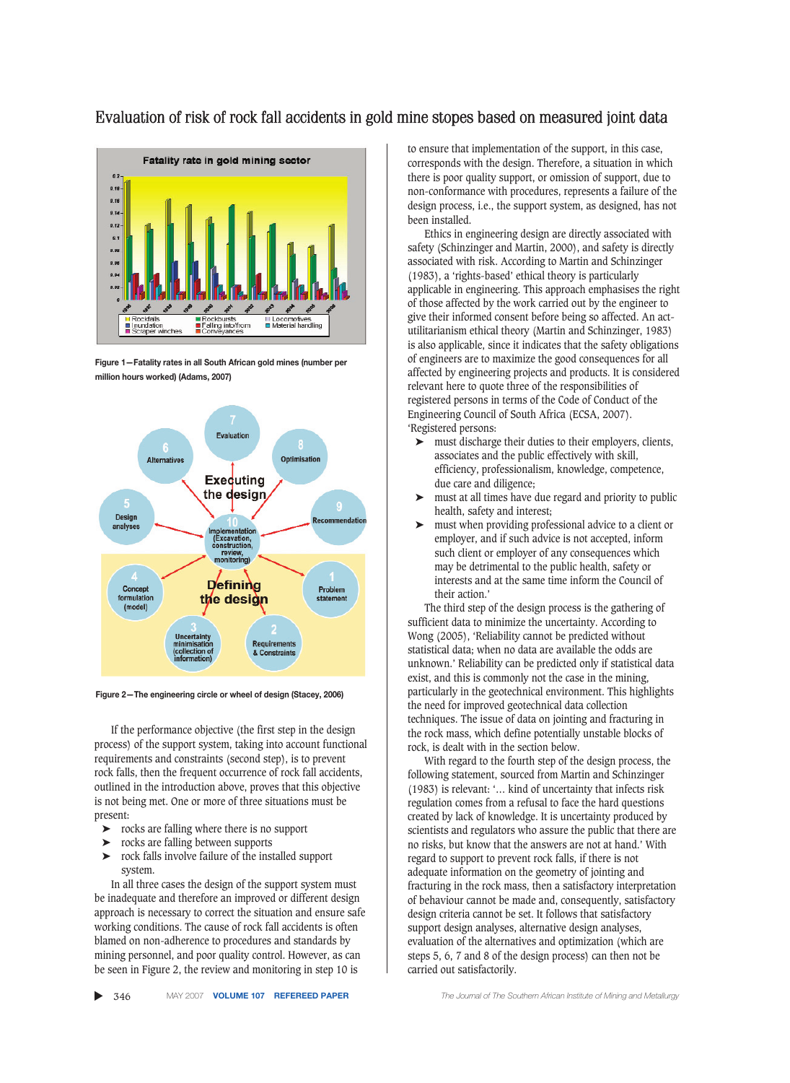### Evaluation of risk of rock fall accidents in gold mine stopes based on measured joint data



**Figure 1—Fatality rates in all South African gold mines (number per million hours worked) (Adams, 2007)**



**Figure 2—The engineering circle or wheel of design (Stacey, 2006)**

If the performance objective (the first step in the design process) of the support system, taking into account functional requirements and constraints (second step), is to prevent rock falls, then the frequent occurrence of rock fall accidents, outlined in the introduction above, proves that this objective is not being met. One or more of three situations must be present:

- ➤ rocks are falling where there is no support
- ➤ rocks are falling between supports
- ➤ rock falls involve failure of the installed support system.

In all three cases the design of the support system must be inadequate and therefore an improved or different design approach is necessary to correct the situation and ensure safe working conditions. The cause of rock fall accidents is often blamed on non-adherence to procedures and standards by mining personnel, and poor quality control. However, as can be seen in Figure 2, the review and monitoring in step 10 is

to ensure that implementation of the support, in this case, corresponds with the design. Therefore, a situation in which there is poor quality support, or omission of support, due to non-conformance with procedures, represents a failure of the design process, i.e., the support system, as designed, has not been installed.

Ethics in engineering design are directly associated with safety (Schinzinger and Martin, 2000), and safety is directly associated with risk. According to Martin and Schinzinger (1983), a 'rights-based' ethical theory is particularly applicable in engineering. This approach emphasises the right of those affected by the work carried out by the engineer to give their informed consent before being so affected. An actutilitarianism ethical theory (Martin and Schinzinger, 1983) is also applicable, since it indicates that the safety obligations of engineers are to maximize the good consequences for all affected by engineering projects and products. It is considered relevant here to quote three of the responsibilities of registered persons in terms of the Code of Conduct of the Engineering Council of South Africa (ECSA, 2007). 'Registered persons:

- ➤ must discharge their duties to their employers, clients, associates and the public effectively with skill, efficiency, professionalism, knowledge, competence, due care and diligence;
- ➤ must at all times have due regard and priority to public health, safety and interest;
- ➤ must when providing professional advice to a client or employer, and if such advice is not accepted, inform such client or employer of any consequences which may be detrimental to the public health, safety or interests and at the same time inform the Council of their action.'

The third step of the design process is the gathering of sufficient data to minimize the uncertainty. According to Wong (2005), 'Reliability cannot be predicted without statistical data; when no data are available the odds are unknown.' Reliability can be predicted only if statistical data exist, and this is commonly not the case in the mining, particularly in the geotechnical environment. This highlights the need for improved geotechnical data collection techniques. The issue of data on jointing and fracturing in the rock mass, which define potentially unstable blocks of rock, is dealt with in the section below.

With regard to the fourth step of the design process, the following statement, sourced from Martin and Schinzinger (1983) is relevant: '… kind of uncertainty that infects risk regulation comes from a refusal to face the hard questions created by lack of knowledge. It is uncertainty produced by scientists and regulators who assure the public that there are no risks, but know that the answers are not at hand.' With regard to support to prevent rock falls, if there is not adequate information on the geometry of jointing and fracturing in the rock mass, then a satisfactory interpretation of behaviour cannot be made and, consequently, satisfactory design criteria cannot be set. It follows that satisfactory support design analyses, alternative design analyses, evaluation of the alternatives and optimization (which are steps 5, 6, 7 and 8 of the design process) can then not be carried out satisfactorily.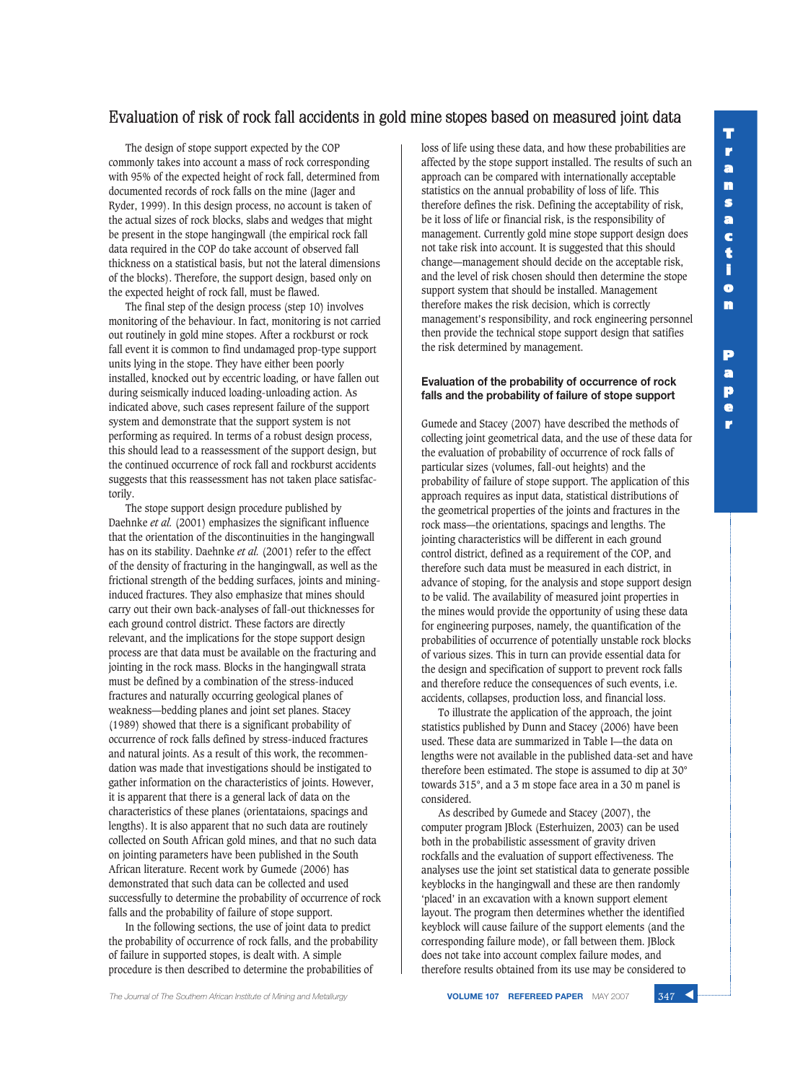**p e r**

## Evaluation of risk of rock fall accidents in gold mine stopes based on measured joint data

The design of stope support expected by the COP commonly takes into account a mass of rock corresponding with 95% of the expected height of rock fall, determined from documented records of rock falls on the mine (Jager and Ryder, 1999). In this design process, no account is taken of the actual sizes of rock blocks, slabs and wedges that might be present in the stope hangingwall (the empirical rock fall data required in the COP do take account of observed fall thickness on a statistical basis, but not the lateral dimensions of the blocks). Therefore, the support design, based only on the expected height of rock fall, must be flawed.

The final step of the design process (step 10) involves monitoring of the behaviour. In fact, monitoring is not carried out routinely in gold mine stopes. After a rockburst or rock fall event it is common to find undamaged prop-type support units lying in the stope. They have either been poorly installed, knocked out by eccentric loading, or have fallen out during seismically induced loading-unloading action. As indicated above, such cases represent failure of the support system and demonstrate that the support system is not performing as required. In terms of a robust design process, this should lead to a reassessment of the support design, but the continued occurrence of rock fall and rockburst accidents suggests that this reassessment has not taken place satisfactorily.

The stope support design procedure published by Daehnke *et al.* (2001) emphasizes the significant influence that the orientation of the discontinuities in the hangingwall has on its stability. Daehnke *et al.* (2001) refer to the effect of the density of fracturing in the hangingwall, as well as the frictional strength of the bedding surfaces, joints and mininginduced fractures. They also emphasize that mines should carry out their own back-analyses of fall-out thicknesses for each ground control district. These factors are directly relevant, and the implications for the stope support design process are that data must be available on the fracturing and jointing in the rock mass. Blocks in the hangingwall strata must be defined by a combination of the stress-induced fractures and naturally occurring geological planes of weakness—bedding planes and joint set planes. Stacey (1989) showed that there is a significant probability of occurrence of rock falls defined by stress-induced fractures and natural joints. As a result of this work, the recommendation was made that investigations should be instigated to gather information on the characteristics of joints. However, it is apparent that there is a general lack of data on the characteristics of these planes (orientataions, spacings and lengths). It is also apparent that no such data are routinely collected on South African gold mines, and that no such data on jointing parameters have been published in the South African literature. Recent work by Gumede (2006) has demonstrated that such data can be collected and used successfully to determine the probability of occurrence of rock falls and the probability of failure of stope support.

In the following sections, the use of joint data to predict the probability of occurrence of rock falls, and the probability of failure in supported stopes, is dealt with. A simple procedure is then described to determine the probabilities of

loss of life using these data, and how these probabilities are affected by the stope support installed. The results of such an approach can be compared with internationally acceptable statistics on the annual probability of loss of life. This therefore defines the risk. Defining the acceptability of risk, be it loss of life or financial risk, is the responsibility of management. Currently gold mine stope support design does not take risk into account. It is suggested that this should change—management should decide on the acceptable risk, and the level of risk chosen should then determine the stope support system that should be installed. Management therefore makes the risk decision, which is correctly management's responsibility, and rock engineering personnel then provide the technical stope support design that satifies the risk determined by management.

#### **Evaluation of the probability of occurrence of rock falls and the probability of failure of stope support**

Gumede and Stacey (2007) have described the methods of collecting joint geometrical data, and the use of these data for the evaluation of probability of occurrence of rock falls of particular sizes (volumes, fall-out heights) and the probability of failure of stope support. The application of this approach requires as input data, statistical distributions of the geometrical properties of the joints and fractures in the rock mass—the orientations, spacings and lengths. The jointing characteristics will be different in each ground control district, defined as a requirement of the COP, and therefore such data must be measured in each district, in advance of stoping, for the analysis and stope support design to be valid. The availability of measured joint properties in the mines would provide the opportunity of using these data for engineering purposes, namely, the quantification of the probabilities of occurrence of potentially unstable rock blocks of various sizes. This in turn can provide essential data for the design and specification of support to prevent rock falls and therefore reduce the consequences of such events, i.e. accidents, collapses, production loss, and financial loss.

To illustrate the application of the approach, the joint statistics published by Dunn and Stacey (2006) have been used. These data are summarized in Table I—the data on lengths were not available in the published data-set and have therefore been estimated. The stope is assumed to dip at 30° towards 315°, and a 3 m stope face area in a 30 m panel is considered.

As described by Gumede and Stacey (2007), the computer program JBlock (Esterhuizen, 2003) can be used both in the probabilistic assessment of gravity driven rockfalls and the evaluation of support effectiveness. The analyses use the joint set statistical data to generate possible keyblocks in the hangingwall and these are then randomly 'placed' in an excavation with a known support element layout. The program then determines whether the identified keyblock will cause failure of the support elements (and the corresponding failure mode), or fall between them. JBlock does not take into account complex failure modes, and therefore results obtained from its use may be considered to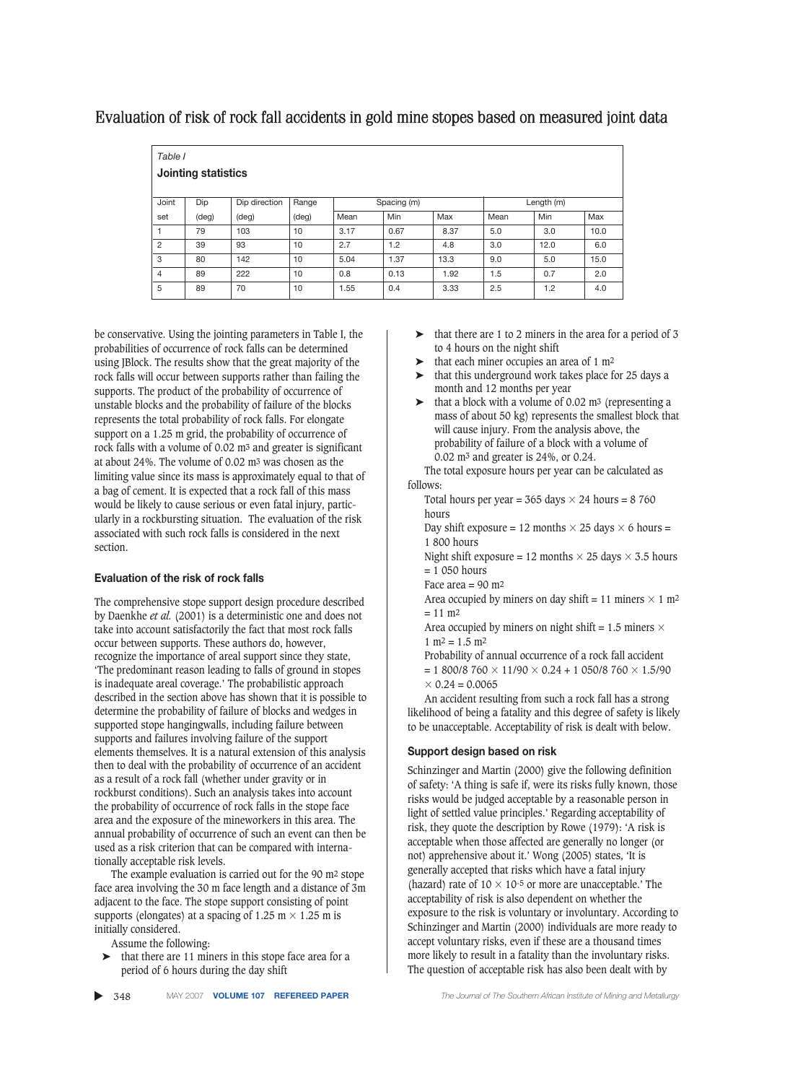## Evaluation of risk of rock fall accidents in gold mine stopes based on measured joint data

*Table I*

| Jointing statistics |  |
|---------------------|--|

| <b>Jointing statistics</b> |       |                |                |             |      |      |            |      |      |  |  |  |
|----------------------------|-------|----------------|----------------|-------------|------|------|------------|------|------|--|--|--|
| Joint                      | Dip   | Dip direction  | Range          | Spacing (m) |      |      | Length (m) |      |      |  |  |  |
| set                        | (deg) | $(\text{deg})$ | $(\text{deg})$ | Mean        | Min  | Max  | Mean       | Min  | Max  |  |  |  |
| $\mathbf{1}$               | 79    | 103            | 10             | 3.17        | 0.67 | 8.37 | 5.0        | 3.0  | 10.0 |  |  |  |
| 2                          | 39    | 93             | 10             | 2.7         | 1.2  | 4.8  | 3.0        | 12.0 | 6.0  |  |  |  |
| 3                          | 80    | 142            | 10             | 5.04        | 1.37 | 13.3 | 9.0        | 5.0  | 15.0 |  |  |  |
| $\overline{4}$             | 89    | 222            | 10             | 0.8         | 0.13 | 1.92 | 1.5        | 0.7  | 2.0  |  |  |  |
| 5                          | 89    | 70             | 10             | 1.55        | 0.4  | 3.33 | 2.5        | 1.2  | 4.0  |  |  |  |

be conservative. Using the jointing parameters in Table I, the probabilities of occurrence of rock falls can be determined using JBlock. The results show that the great majority of the rock falls will occur between supports rather than failing the supports. The product of the probability of occurrence of unstable blocks and the probability of failure of the blocks represents the total probability of rock falls. For elongate support on a 1.25 m grid, the probability of occurrence of rock falls with a volume of 0.02 m3 and greater is significant at about 24%. The volume of 0.02 m3 was chosen as the limiting value since its mass is approximately equal to that of a bag of cement. It is expected that a rock fall of this mass would be likely to cause serious or even fatal injury, particularly in a rockbursting situation. The evaluation of the risk associated with such rock falls is considered in the next section.

#### **Evaluation of the risk of rock falls**

The comprehensive stope support design procedure described by Daenkhe *et al.* (2001) is a deterministic one and does not take into account satisfactorily the fact that most rock falls occur between supports. These authors do, however, recognize the importance of areal support since they state, 'The predominant reason leading to falls of ground in stopes is inadequate areal coverage.' The probabilistic approach described in the section above has shown that it is possible to determine the probability of failure of blocks and wedges in supported stope hangingwalls, including failure between supports and failures involving failure of the support elements themselves. It is a natural extension of this analysis then to deal with the probability of occurrence of an accident as a result of a rock fall (whether under gravity or in rockburst conditions). Such an analysis takes into account the probability of occurrence of rock falls in the stope face area and the exposure of the mineworkers in this area. The annual probability of occurrence of such an event can then be used as a risk criterion that can be compared with internationally acceptable risk levels.

The example evaluation is carried out for the 90 m2 stope face area involving the 30 m face length and a distance of 3m adjacent to the face. The stope support consisting of point supports (elongates) at a spacing of 1.25 m  $\times$  1.25 m is initially considered.

Assume the following:

- $\triangleright$  that there are 11 miners in this stope face area for a period of 6 hours during the day shift
- ▲
- $\blacktriangleright$  that there are 1 to 2 miners in the area for a period of 3 to 4 hours on the night shift
- $\blacktriangleright$  that each miner occupies an area of 1 m<sup>2</sup>
- ➤ that this underground work takes place for 25 days a month and 12 months per year
- $\blacktriangleright$  that a block with a volume of 0.02 m<sup>3</sup> (representing a mass of about 50 kg) represents the smallest block that will cause injury. From the analysis above, the probability of failure of a block with a volume of 0.02 m3 and greater is 24%, or 0.24.

The total exposure hours per year can be calculated as follows:

Total hours per year = 365 days  $\times$  24 hours = 8 760 hours

Day shift exposure = 12 months  $\times$  25 days  $\times$  6 hours = 1 800 hours

Night shift exposure = 12 months  $\times$  25 days  $\times$  3.5 hours = 1 050 hours

Face area  $= 90$  m<sup>2</sup>

Area occupied by miners on day shift = 11 miners  $\times$  1 m<sup>2</sup>  $= 11$  m<sup>2</sup>

Area occupied by miners on night shift = 1.5 miners  $\times$  $1 m<sup>2</sup> = 1.5 m<sup>2</sup>$ 

Probability of annual occurrence of a rock fall accident = 1 800/8 760  $\times$  11/90  $\times$  0.24 + 1 050/8 760  $\times$  1.5/90  $\times$  0.24 = 0.0065

An accident resulting from such a rock fall has a strong likelihood of being a fatality and this degree of safety is likely to be unacceptable. Acceptability of risk is dealt with below.

#### **Support design based on risk**

Schinzinger and Martin (2000) give the following definition of safety: 'A thing is safe if, were its risks fully known, those risks would be judged acceptable by a reasonable person in light of settled value principles.' Regarding acceptability of risk, they quote the description by Rowe (1979): 'A risk is acceptable when those affected are generally no longer (or not) apprehensive about it.' Wong (2005) states, 'It is generally accepted that risks which have a fatal injury (hazard) rate of  $10 \times 10^{-5}$  or more are unacceptable.' The acceptability of risk is also dependent on whether the exposure to the risk is voluntary or involuntary. According to Schinzinger and Martin (2000) individuals are more ready to accept voluntary risks, even if these are a thousand times more likely to result in a fatality than the involuntary risks. The question of acceptable risk has also been dealt with by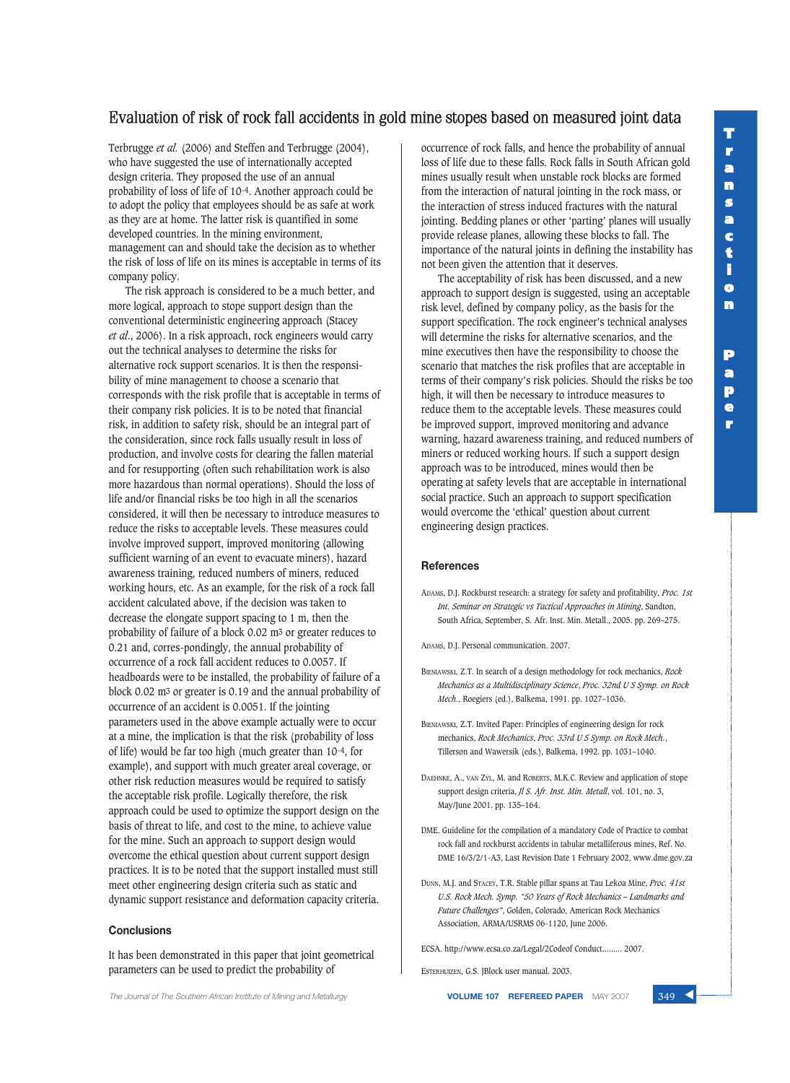**P a p e r**

## Evaluation of risk of rock fall accidents in gold mine stopes based on measured joint data

Terbrugge *et al.* (2006) and Steffen and Terbrugge (2004), who have suggested the use of internationally accepted design criteria. They proposed the use of an annual probability of loss of life of 10-4. Another approach could be to adopt the policy that employees should be as safe at work as they are at home. The latter risk is quantified in some developed countries. In the mining environment, management can and should take the decision as to whether the risk of loss of life on its mines is acceptable in terms of its company policy.

The risk approach is considered to be a much better, and more logical, approach to stope support design than the conventional deterministic engineering approach (Stacey *et al*., 2006). In a risk approach, rock engineers would carry out the technical analyses to determine the risks for alternative rock support scenarios. It is then the responsibility of mine management to choose a scenario that corresponds with the risk profile that is acceptable in terms of their company risk policies. It is to be noted that financial risk, in addition to safety risk, should be an integral part of the consideration, since rock falls usually result in loss of production, and involve costs for clearing the fallen material and for resupporting (often such rehabilitation work is also more hazardous than normal operations). Should the loss of life and/or financial risks be too high in all the scenarios considered, it will then be necessary to introduce measures to reduce the risks to acceptable levels. These measures could involve improved support, improved monitoring (allowing sufficient warning of an event to evacuate miners), hazard awareness training, reduced numbers of miners, reduced working hours, etc. As an example, for the risk of a rock fall accident calculated above, if the decision was taken to decrease the elongate support spacing to 1 m, then the probability of failure of a block 0.02 m3 or greater reduces to 0.21 and, corres-pondingly, the annual probability of occurrence of a rock fall accident reduces to 0.0057. If headboards were to be installed, the probability of failure of a block 0.02 m3 or greater is 0.19 and the annual probability of occurrence of an accident is 0.0051. If the jointing parameters used in the above example actually were to occur at a mine, the implication is that the risk (probability of loss of life) would be far too high (much greater than 10-4, for example), and support with much greater areal coverage, or other risk reduction measures would be required to satisfy the acceptable risk profile. Logically therefore, the risk approach could be used to optimize the support design on the basis of threat to life, and cost to the mine, to achieve value for the mine. Such an approach to support design would overcome the ethical question about current support design practices. It is to be noted that the support installed must still meet other engineering design criteria such as static and dynamic support resistance and deformation capacity criteria.

#### **Conclusions**

It has been demonstrated in this paper that joint geometrical parameters can be used to predict the probability of

occurrence of rock falls, and hence the probability of annual loss of life due to these falls. Rock falls in South African gold mines usually result when unstable rock blocks are formed from the interaction of natural jointing in the rock mass, or the interaction of stress induced fractures with the natural jointing. Bedding planes or other 'parting' planes will usually provide release planes, allowing these blocks to fall. The importance of the natural joints in defining the instability has not been given the attention that it deserves.

The acceptability of risk has been discussed, and a new approach to support design is suggested, using an acceptable risk level, defined by company policy, as the basis for the support specification. The rock engineer's technical analyses will determine the risks for alternative scenarios, and the mine executives then have the responsibility to choose the scenario that matches the risk profiles that are acceptable in terms of their company's risk policies. Should the risks be too high, it will then be necessary to introduce measures to reduce them to the acceptable levels. These measures could be improved support, improved monitoring and advance warning, hazard awareness training, and reduced numbers of miners or reduced working hours. If such a support design approach was to be introduced, mines would then be operating at safety levels that are acceptable in international social practice. Such an approach to support specification would overcome the 'ethical' question about current engineering design practices.

#### **References**

ADAMS, D.J. Rockburst research: a strategy for safety and profitability, *Proc. 1st Int. Seminar on Strategic vs Tactical Approaches in Mining*, Sandton, South Africa, September, S. Afr. Inst. Min. Metall., 2005. pp. 269–275.

ADAMS, D.J. Personal communication. 2007.

- BIENIAWSKI, Z.T. In search of a design methodology for rock mechanics, *Rock Mechanics as a Multidisciplinary Science*, *Proc. 32nd U S Symp. on Rock Mech.*, Roegiers (ed.), Balkema, 1991. pp. 1027–1036.
- BIENIAWSKI, Z.T. Invited Paper: Principles of engineering design for rock mechanics, *Rock Mechanics*, *Proc. 33rd U S Symp. on Rock Mech.*, Tillerson and Wawersik (eds.), Balkema, 1992. pp. 1031–1040.
- DAEHNKE, A., VAN ZYL, M. and ROBERTS, M.K.C. Review and application of stope support design criteria, *Jl S. Afr. Inst. Min. Metall*, vol. 101, no. 3, May/June 2001. pp. 135–164.
- DME. Guideline for the compilation of a mandatory Code of Practice to combat rock fall and rockburst accidents in tabular metalliferous mines, Ref. No. DME 16/3/2/1-A3, Last Revision Date 1 February 2002, www.dme.gov.za
- DUNN, M.J. and STACEY, T.R. Stable pillar spans at Tau Lekoa Mine, *Proc. 41st U.S. Rock Mech. Symp. "50 Years of Rock Mechanics – Landmarks and Future Challenges"*, Golden, Colorado, American Rock Mechanics Association, ARMA/USRMS 06-1120, June 2006.

ECSA. http://www.ecsa.co.za/Legal/2Codeof Conduct......... 2007.

ESTERHUIZEN, G.S. JBlock user manual. 2003.